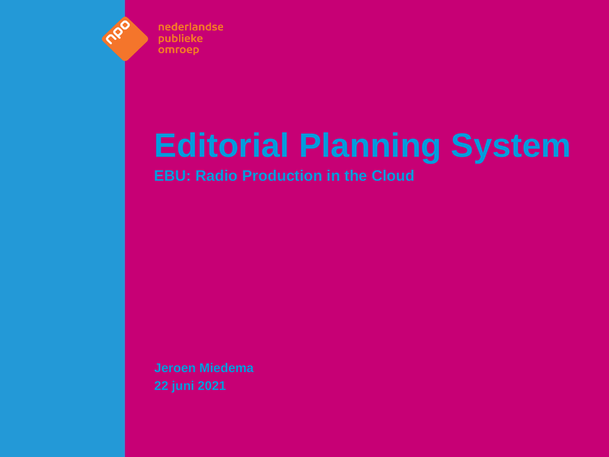

nederlandse **publieke** omroep

# **Editorial Planning System**

**EBU: Radio Production in the Cloud**

**Jeroen Miedema 22 juni 2021**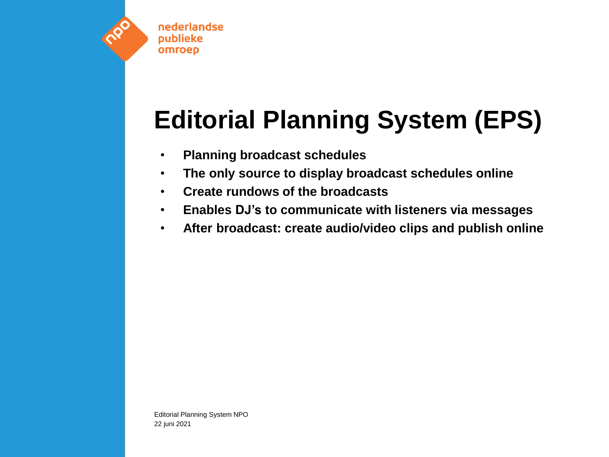

# **Editorial Planning System (EPS)**

- **Planning broadcast schedules**
- **The only source to display broadcast schedules online**
- **Create rundows of the broadcasts**
- **Enables DJ's to communicate with listeners via messages**
- **After broadcast: create audio/video clips and publish online**

Editorial Planning System NPO 22 juni 2021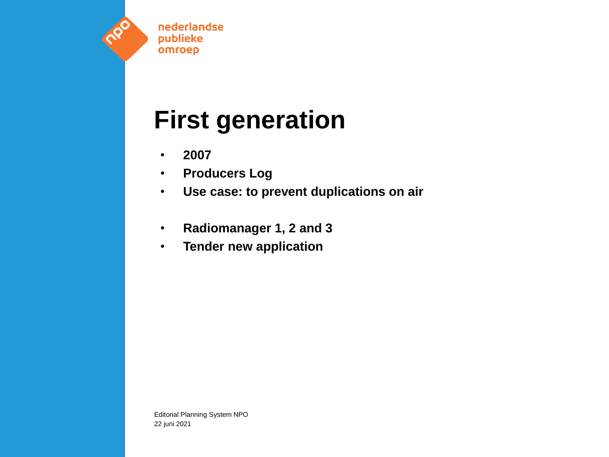

# **First generation**

- **2007**
- **Producers Log**
- **Use case: to prevent duplications on air**
- **Radiomanager 1, 2 and 3**
- **Tender new application**

Editorial Planning System NPO 22 juni 2021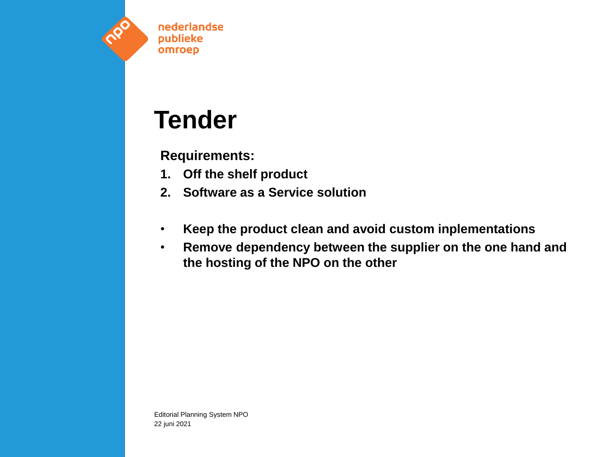

### **Tender**

#### **Requirements:**

- **1. Off the shelf product**
- **2. Software as a Service solution**
- **Keep the product clean and avoid custom inplementations**
- **Remove dependency between the supplier on the one hand and the hosting of the NPO on the other**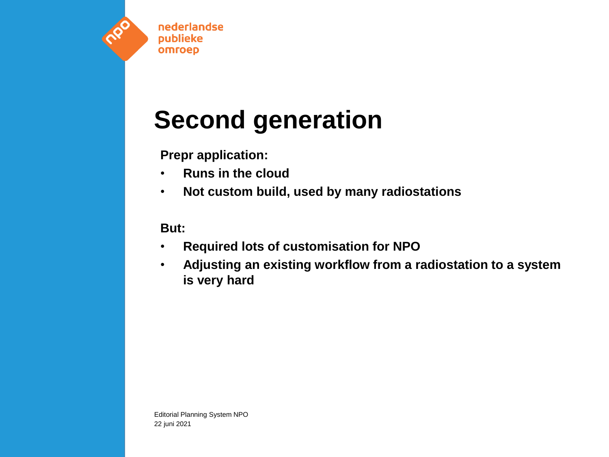

# **Second generation**

**Prepr application:**

- **Runs in the cloud**
- **Not custom build, used by many radiostations**

#### **But:**

- **Required lots of customisation for NPO**
- **Adjusting an existing workflow from a radiostation to a system is very hard**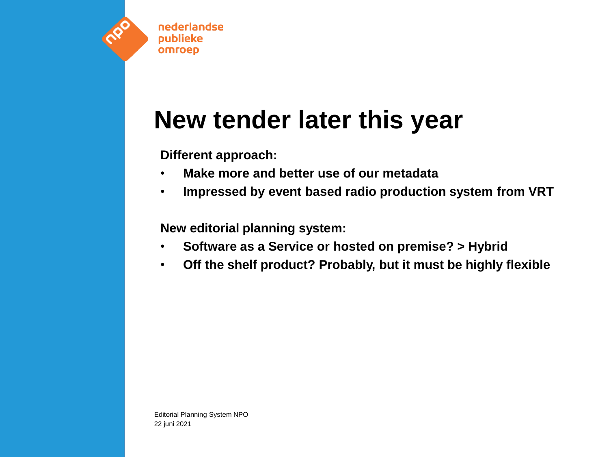

### **New tender later this year**

**Different approach:**

- **Make more and better use of our metadata**
- **Impressed by event based radio production system from VRT**

**New editorial planning system:**

- **Software as a Service or hosted on premise? > Hybrid**
- **Off the shelf product? Probably, but it must be highly flexible**